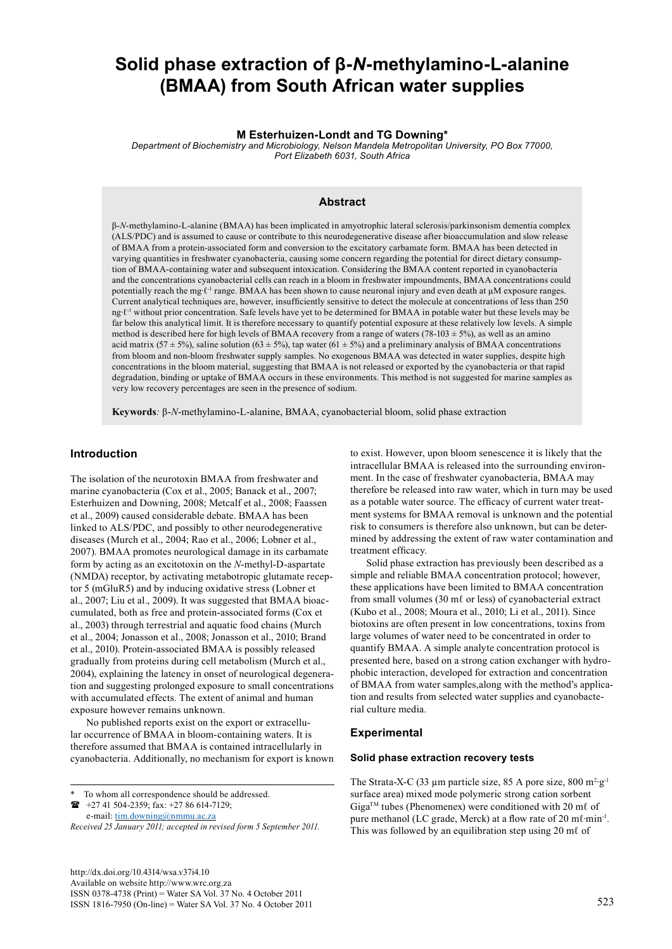# **Solid phase extraction of β-***N***-methylamino-L-alanine (BMAA) from South African water supplies**

## **M Esterhuizen-Londt and TG Downing\***

*Department of Biochemistry and Microbiology, Nelson Mandela Metropolitan University, PO Box 77000, Port Elizabeth 6031, South Africa*

# **Abstract**

β-*N*-methylamino-L-alanine (BMAA) has been implicated in amyotrophic lateral sclerosis/parkinsonism dementia complex (ALS/PDC) and is assumed to cause or contribute to this neurodegenerative disease after bioaccumulation and slow release of BMAA from a protein-associated form and conversion to the excitatory carbamate form. BMAA has been detected in varying quantities in freshwater cyanobacteria, causing some concern regarding the potential for direct dietary consumption of BMAA-containing water and subsequent intoxication. Considering the BMAA content reported in cyanobacteria and the concentrations cyanobacterial cells can reach in a bloom in freshwater impoundments, BMAA concentrations could potentially reach the mg∙ℓ-1 range. BMAA has been shown to cause neuronal injury and even death at µM exposure ranges. Current analytical techniques are, however, insufficiently sensitive to detect the molecule at concentrations of less than 250 ng∙ℓ-1 without prior concentration. Safe levels have yet to be determined for BMAA in potable water but these levels may be far below this analytical limit. It is therefore necessary to quantify potential exposure at these relatively low levels. A simple method is described here for high levels of BMAA recovery from a range of waters (78-103  $\pm$  5%), as well as an amino acid matrix (57 ± 5%), saline solution (63 ± 5%), tap water (61 ± 5%) and a preliminary analysis of BMAA concentrations from bloom and non-bloom freshwater supply samples. No exogenous BMAA was detected in water supplies, despite high concentrations in the bloom material, suggesting that BMAA is not released or exported by the cyanobacteria or that rapid degradation, binding or uptake of BMAA occurs in these environments. This method is not suggested for marine samples as very low recovery percentages are seen in the presence of sodium.

**Keywords***:* β-*N*-methylamino-L-alanine, BMAA, cyanobacterial bloom, solid phase extraction

# **Introduction**

The isolation of the neurotoxin BMAA from freshwater and marine cyanobacteria (Cox et al., 2005; Banack et al., 2007; Esterhuizen and Downing, 2008; Metcalf et al., 2008; Faassen et al., 2009) caused considerable debate. BMAA has been linked to ALS/PDC, and possibly to other neurodegenerative diseases (Murch et al., 2004; Rao et al., 2006; Lobner et al., 2007). BMAA promotes neurological damage in its carbamate form by acting as an excitotoxin on the *N*-methyl-D-aspartate (NMDA) receptor, by activating metabotropic glutamate receptor 5 (mGluR5) and by inducing oxidative stress (Lobner et al., 2007; Liu et al., 2009). It was suggested that BMAA bioaccumulated, both as free and protein-associated forms (Cox et al., 2003) through terrestrial and aquatic food chains (Murch et al., 2004; Jonasson et al., 2008; Jonasson et al., 2010; Brand et al., 2010). Protein-associated BMAA is possibly released gradually from proteins during cell metabolism (Murch et al., 2004), explaining the latency in onset of neurological degeneration and suggesting prolonged exposure to small concentrations with accumulated effects. The extent of animal and human exposure however remains unknown.

No published reports exist on the export or extracellular occurrence of BMAA in bloom-containing waters. It is therefore assumed that BMAA is contained intracellularly in cyanobacteria. Additionally, no mechanism for export is known

 +27 41 504-2359; fax: +27 86 614-7129; e-mail: [tim.downing@nmmu.ac.za](mailto:tim.downing@nmmu.ac.za)

<http://dx.doi.org/10.4314/wsa.v37i4.10> Available on website http://www.wrc.org.za ISSN 0378-4738 (Print) = Water SA Vol. 37 No. 4 October 2011 ISSN 1816-7950 (On-line) = Water SA Vol. 37 No. 4 October 2011 523

to exist. However, upon bloom senescence it is likely that the intracellular BMAA is released into the surrounding environment. In the case of freshwater cyanobacteria, BMAA may therefore be released into raw water, which in turn may be used as a potable water source. The efficacy of current water treatment systems for BMAA removal is unknown and the potential risk to consumers is therefore also unknown, but can be determined by addressing the extent of raw water contamination and treatment efficacy.

Solid phase extraction has previously been described as a simple and reliable BMAA concentration protocol; however, these applications have been limited to BMAA concentration from small volumes (30 m $\ell$  or less) of cyanobacterial extract (Kubo et al., 2008; Moura et al., 2010; Li et al., 2011). Since biotoxins are often present in low concentrations, toxins from large volumes of water need to be concentrated in order to quantify BMAA. A simple analyte concentration protocol is presented here, based on a strong cation exchanger with hydrophobic interaction, developed for extraction and concentration of BMAA from water samples,along with the method's application and results from selected water supplies and cyanobacterial culture media.

#### **Experimental**

#### **Solid phase extraction recovery tests**

The Strata-X-C (33 µm particle size, 85 A pore size, 800 m<sup>2</sup>·g<sup>-1</sup> surface area) mixed mode polymeric strong cation sorbent  $Giga^{TM}$  tubes (Phenomenex) were conditioned with 20 m $\ell$  of pure methanol (LC grade, Merck) at a flow rate of 20 mℓ·min<sup>-1</sup>. This was followed by an equilibration step using 20 mℓ of

To whom all correspondence should be addressed.

*Received 25 January 2011; accepted in revised form 5 September 2011.*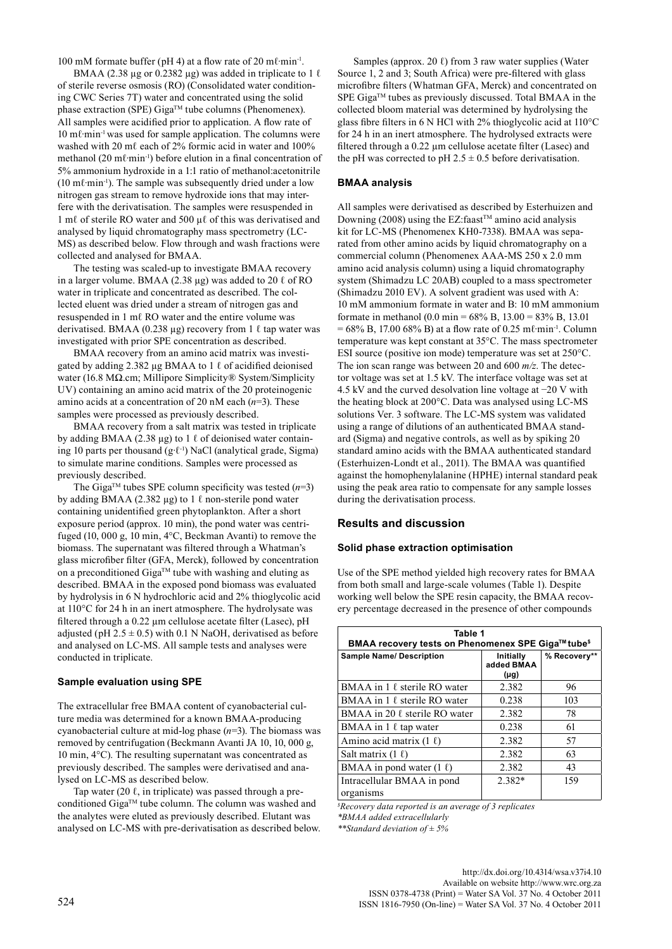100 mM formate buffer (pH 4) at a flow rate of 20 mℓ∙min-1.

BMAA (2.38 µg or 0.2382 µg) was added in triplicate to 1  $\ell$ of sterile reverse osmosis (RO) (Consolidated water conditioning CWC Series 7T) water and concentrated using the solid phase extraction (SPE) Giga<sup>TM</sup> tube columns (Phenomenex). All samples were acidified prior to application. A flow rate of 10 mℓ∙min-1 was used for sample application. The columns were washed with 20 mℓ each of  $2\%$  formic acid in water and 100% methanol (20 mℓ∙min-1) before elution in a final concentration of 5% ammonium hydroxide in a 1:1 ratio of methanol:acetonitrile (10 mℓ∙min-1). The sample was subsequently dried under a low nitrogen gas stream to remove hydroxide ions that may interfere with the derivatisation. The samples were resuspended in 1 mℓ of sterile RO water and 500 µℓ of this was derivatised and analysed by liquid chromatography mass spectrometry (LC-MS) as described below. Flow through and wash fractions were collected and analysed for BMAA.

The testing was scaled-up to investigate BMAA recovery in a larger volume. BMAA (2.38  $\mu$ g) was added to 20  $\ell$  of RO water in triplicate and concentrated as described. The collected eluent was dried under a stream of nitrogen gas and resuspended in 1 mℓ RO water and the entire volume was derivatised. BMAA (0.238 µg) recovery from 1  $\ell$  tap water was investigated with prior SPE concentration as described.

BMAA recovery from an amino acid matrix was investigated by adding 2.382  $\mu$ g BMAA to 1  $\ell$  of acidified deionised water (16.8 MΩ.cm; Millipore Simplicity® System/Simplicity UV) containing an amino acid matrix of the 20 proteinogenic amino acids at a concentration of 20 nM each (*n*=3). These samples were processed as previously described.

BMAA recovery from a salt matrix was tested in triplicate by adding BMAA (2.38 µg) to 1  $\ell$  of deionised water containing 10 parts per thousand (g∙ℓ-1) NaCl (analytical grade, Sigma) to simulate marine conditions. Samples were processed as previously described.

The Giga<sup>TM</sup> tubes SPE column specificity was tested  $(n=3)$ by adding BMAA (2.382 µg) to 1  $\ell$  non-sterile pond water containing unidentified green phytoplankton. After a short exposure period (approx. 10 min), the pond water was centrifuged (10, 000 g, 10 min, 4°C, Beckman Avanti) to remove the biomass. The supernatant was filtered through a Whatman's glass microfiber filter (GFA, Merck), followed by concentration on a preconditioned Giga<sup>TM</sup> tube with washing and eluting as described. BMAA in the exposed pond biomass was evaluated by hydrolysis in 6 N hydrochloric acid and 2% thioglycolic acid at 110°C for 24 h in an inert atmosphere. The hydrolysate was filtered through a 0.22 µm cellulose acetate filter (Lasec), pH adjusted (pH  $2.5 \pm 0.5$ ) with 0.1 N NaOH, derivatised as before and analysed on LC-MS. All sample tests and analyses were conducted in triplicate.

## **Sample evaluation using SPE**

The extracellular free BMAA content of cyanobacterial culture media was determined for a known BMAA-producing cyanobacterial culture at mid-log phase (*n*=3). The biomass was removed by centrifugation (Beckmann Avanti JA 10, 10, 000 g, 10 min, 4°C). The resulting supernatant was concentrated as previously described. The samples were derivatised and analysed on LC-MS as described below.

Tap water (20  $\ell$ , in triplicate) was passed through a preconditioned Giga™ tube column. The column was washed and the analytes were eluted as previously described. Elutant was analysed on LC-MS with pre-derivatisation as described below.

Samples (approx. 20  $\ell$ ) from 3 raw water supplies (Water Source 1, 2 and 3; South Africa) were pre-filtered with glass microfibre filters (Whatman GFA, Merck) and concentrated on SPE Giga<sup>™</sup> tubes as previously discussed. Total BMAA in the collected bloom material was determined by hydrolysing the glass fibre filters in 6 N HCl with 2% thioglycolic acid at 110°C for 24 h in an inert atmosphere. The hydrolysed extracts were filtered through a 0.22 µm cellulose acetate filter (Lasec) and the pH was corrected to pH  $2.5 \pm 0.5$  before derivatisation.

#### **BMAA analysis**

All samples were derivatised as described by Esterhuizen and Downing (2008) using the EZ:faast<sup>™</sup> amino acid analysis kit for LC-MS (Phenomenex KH0-7338). BMAA was separated from other amino acids by liquid chromatography on a commercial column (Phenomenex AAA-MS 250 x 2.0 mm amino acid analysis column) using a liquid chromatography system (Shimadzu LC 20AB) coupled to a mass spectrometer (Shimadzu 2010 EV). A solvent gradient was used with A: 10 mM ammonium formate in water and B: 10 mM ammonium formate in methanol (0.0 min = 68% B, 13.00 = 83% B, 13.01 = 68% B, 17.00 68% B) at a flow rate of 0.25 mℓ∙min-1. Column temperature was kept constant at 35°C. The mass spectrometer ESI source (positive ion mode) temperature was set at 250°C. The ion scan range was between 20 and 600 *m/z*. The detector voltage was set at 1.5 kV. The interface voltage was set at 4.5 kV and the curved desolvation line voltage at −20 V with the heating block at 200°C. Data was analysed using LC-MS solutions Ver. 3 software. The LC-MS system was validated using a range of dilutions of an authenticated BMAA standard (Sigma) and negative controls, as well as by spiking 20 standard amino acids with the BMAA authenticated standard (Esterhuizen-Londt et al., 2011). The BMAA was quantified against the homophenylalanine (HPHE) internal standard peak using the peak area ratio to compensate for any sample losses during the derivatisation process.

## **Results and discussion**

## **Solid phase extraction optimisation**

Use of the SPE method yielded high recovery rates for BMAA from both small and large-scale volumes (Table 1). Despite working well below the SPE resin capacity, the BMAA recovery percentage decreased in the presence of other compounds

| Table 1<br>BMAA recovery tests on Phenomenex SPE Giga™ tube <sup>s</sup> |                                      |              |  |
|--------------------------------------------------------------------------|--------------------------------------|--------------|--|
| <b>Sample Name/ Description</b>                                          | Initially<br>added BMAA<br>$(\mu g)$ | % Recovery** |  |
| BMAA in 1 $\ell$ sterile RO water                                        | 2.382                                | 96           |  |
| BMAA in 1 $\ell$ sterile RO water                                        | 0.238                                | 103          |  |
| BMAA in 20 $\ell$ sterile RO water                                       | 2.382                                | 78           |  |
| BMAA in 1 $\ell$ tap water                                               | 0.238                                | 61           |  |
| Amino acid matrix $(1 \ell)$                                             | 2.382                                | 57           |  |
| Salt matrix $(1 \ell)$                                                   | 2.382                                | 63           |  |
| BMAA in pond water $(1 \ell)$                                            | 2.382                                | 43           |  |
| Intracellular BMAA in pond                                               | 2.382*                               | 159          |  |
| organisms                                                                |                                      |              |  |

*\$ Recovery data reported is an average of 3 replicates \*BMAA added extracellularly*

*\*\*Standard deviation of ± 5%*

<http://dx.doi.org/10.4314/wsa.v37i4.10> Available on website http://www.wrc.org.za<br>ISSN 0378-4738 (Print) = Water SA Vol. 37 No. 4 October 2011 ISSN 0378-4738 (Print) = Water SA Vol. 37 No. 4 October 2011 <sup>524</sup> ISSN 1816-7950 (On-line) = Water SA Vol. 37 No. 4 October 2011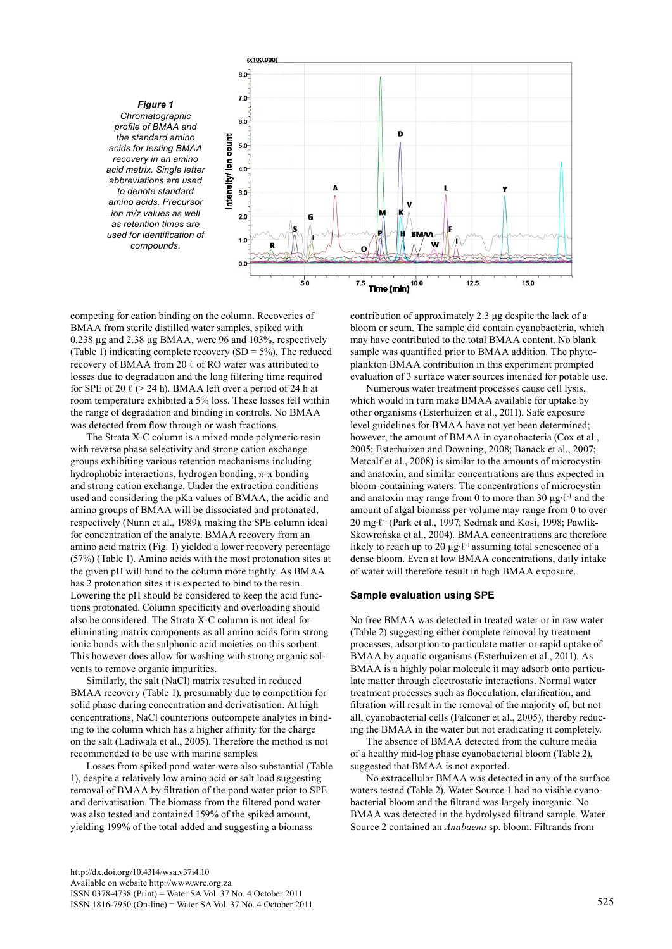

competing for cation binding on the column. Recoveries of BMAA from sterile distilled water samples, spiked with 0.238 µg and 2.38 µg BMAA, were 96 and 103%, respectively (Table 1) indicating complete recovery  $(SD = 5\%)$ . The reduced recovery of BMAA from 20 ℓ of RO water was attributed to losses due to degradation and the long filtering time required for SPE of 20  $\ell$  (> 24 h). BMAA left over a period of 24 h at room temperature exhibited a 5% loss. These losses fell within the range of degradation and binding in controls. No BMAA was detected from flow through or wash fractions.

The Strata X-C column is a mixed mode polymeric resin with reverse phase selectivity and strong cation exchange groups exhibiting various retention mechanisms including hydrophobic interactions, hydrogen bonding, π-π bonding and strong cation exchange. Under the extraction conditions used and considering the pKa values of BMAA, the acidic and amino groups of BMAA will be dissociated and protonated, respectively (Nunn et al., 1989), making the SPE column ideal for concentration of the analyte. BMAA recovery from an amino acid matrix (Fig. 1) yielded a lower recovery percentage (57%) (Table 1). Amino acids with the most protonation sites at the given pH will bind to the column more tightly. As BMAA has 2 protonation sites it is expected to bind to the resin. Lowering the pH should be considered to keep the acid functions protonated. Column specificity and overloading should also be considered. The Strata X-C column is not ideal for eliminating matrix components as all amino acids form strong ionic bonds with the sulphonic acid moieties on this sorbent. This however does allow for washing with strong organic solvents to remove organic impurities.

Similarly, the salt (NaCl) matrix resulted in reduced BMAA recovery (Table 1), presumably due to competition for solid phase during concentration and derivatisation. At high concentrations, NaCl counterions outcompete analytes in binding to the column which has a higher affinity for the charge on the salt (Ladiwala et al., 2005). Therefore the method is not recommended to be use with marine samples.

Losses from spiked pond water were also substantial (Table 1), despite a relatively low amino acid or salt load suggesting removal of BMAA by filtration of the pond water prior to SPE and derivatisation. The biomass from the filtered pond water was also tested and contained 159% of the spiked amount, yielding 199% of the total added and suggesting a biomass

<http://dx.doi.org/10.4314/wsa.v37i4.10> Available on website http://www.wrc.org.za ISSN 0378-4738 (Print) = Water SA Vol. 37 No. 4 October 2011 ISSN 1816-7950 (On-line) = Water SA Vol. 37 No. 4 October 2011 525

contribution of approximately 2.3 μg despite the lack of a bloom or scum. The sample did contain cyanobacteria, which may have contributed to the total BMAA content. No blank sample was quantified prior to BMAA addition. The phytoplankton BMAA contribution in this experiment prompted evaluation of 3 surface water sources intended for potable use.

Numerous water treatment processes cause cell lysis, which would in turn make BMAA available for uptake by other organisms (Esterhuizen et al., 2011). Safe exposure level guidelines for BMAA have not yet been determined; however, the amount of BMAA in cyanobacteria (Cox et al., 2005; Esterhuizen and Downing, 2008; Banack et al., 2007; Metcalf et al., 2008) is similar to the amounts of microcystin and anatoxin, and similar concentrations are thus expected in bloom-containing waters. The concentrations of microcystin and anatoxin may range from 0 to more than 30 µg∙ℓ-1 and the amount of algal biomass per volume may range from 0 to over 20 mg⋅t<sup>-1</sup> (Park et al., 1997; Sedmak and Kosi, 1998; Pawlik-Skowrońska et al., 2004). BMAA concentrations are therefore likely to reach up to 20 µg∙ℓ-1 assuming total senescence of a dense bloom. Even at low BMAA concentrations, daily intake of water will therefore result in high BMAA exposure.

#### **Sample evaluation using SPE**

No free BMAA was detected in treated water or in raw water (Table 2) suggesting either complete removal by treatment processes, adsorption to particulate matter or rapid uptake of BMAA by aquatic organisms (Esterhuizen et al., 2011). As BMAA is a highly polar molecule it may adsorb onto particulate matter through electrostatic interactions. Normal water treatment processes such as flocculation, clarification, and filtration will result in the removal of the majority of, but not all, cyanobacterial cells (Falconer et al., 2005), thereby reducing the BMAA in the water but not eradicating it completely.

The absence of BMAA detected from the culture media of a healthy mid-log phase cyanobacterial bloom (Table 2), suggested that BMAA is not exported.

No extracellular BMAA was detected in any of the surface waters tested (Table 2). Water Source 1 had no visible cyanobacterial bloom and the filtrand was largely inorganic. No BMAA was detected in the hydrolysed filtrand sample. Water Source 2 contained an *Anabaena* sp. bloom. Filtrands from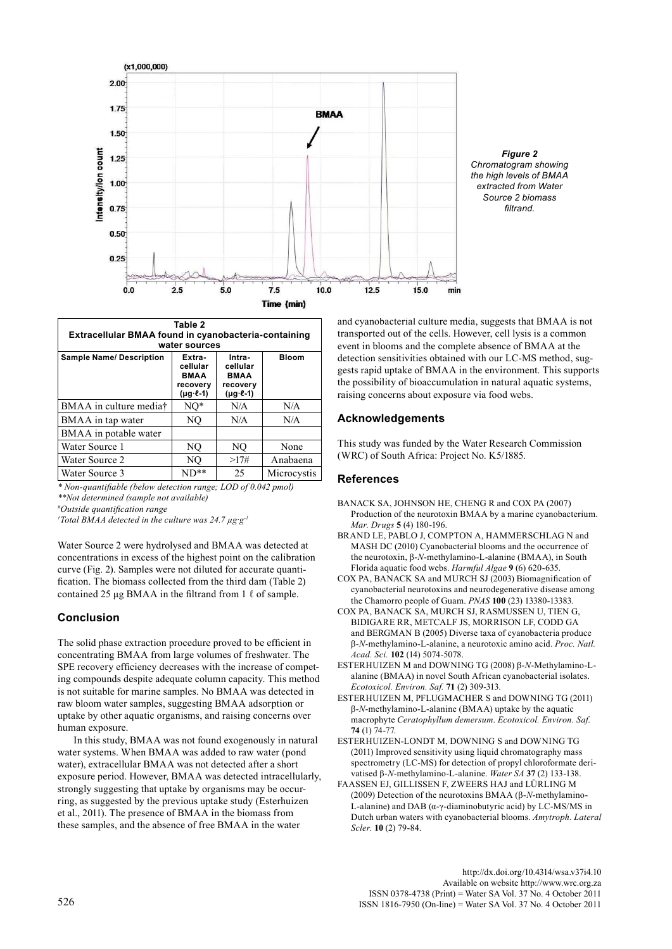

*Figure 2 Chromatogram showing the high levels of BMAA extracted from Water Source 2 biomass filtrand.* 

| Table 2<br>Extracellular BMAA found in cyanobacteria-containing<br>water sources |                                                                           |                                                                           |              |
|----------------------------------------------------------------------------------|---------------------------------------------------------------------------|---------------------------------------------------------------------------|--------------|
| <b>Sample Name/ Description</b>                                                  | Extra-<br>cellular<br><b>BMAA</b><br>recovery<br>$(\mu q \cdot \ell - 1)$ | Intra-<br>cellular<br><b>BMAA</b><br>recovery<br>$(\mu g \cdot \ell - 1)$ | <b>Bloom</b> |
| BMAA in culture mediat                                                           | $NO^*$                                                                    | N/A                                                                       | N/A          |
| BMAA in tap water                                                                | NO                                                                        | N/A                                                                       | N/A          |
| BMAA in potable water                                                            |                                                                           |                                                                           |              |
| Water Source 1                                                                   | NO                                                                        | NO                                                                        | None         |
| Water Source 2                                                                   | NO                                                                        | >17#                                                                      | Anabaena     |
| Water Source 3                                                                   | $ND**$                                                                    | 25                                                                        | Microcystis  |

*\* Non-quantifiable (below detection range; LOD of 0.042 pmol)*

*\*\*Not determined (sample not available)*

*# Outside quantification range † Total BMAA detected in the culture was 24.7 µg∙g-1*

Water Source 2 were hydrolysed and BMAA was detected at concentrations in excess of the highest point on the calibration curve (Fig. 2). Samples were not diluted for accurate quantification. The biomass collected from the third dam (Table 2) contained 25 μg BMAA in the filtrand from 1  $\ell$  of sample.

# **Conclusion**

The solid phase extraction procedure proved to be efficient in concentrating BMAA from large volumes of freshwater. The SPE recovery efficiency decreases with the increase of competing compounds despite adequate column capacity. This method is not suitable for marine samples. No BMAA was detected in raw bloom water samples, suggesting BMAA adsorption or uptake by other aquatic organisms, and raising concerns over human exposure.

In this study, BMAA was not found exogenously in natural water systems. When BMAA was added to raw water (pond water), extracellular BMAA was not detected after a short exposure period. However, BMAA was detected intracellularly, strongly suggesting that uptake by organisms may be occurring, as suggested by the previous uptake study (Esterhuizen et al., 2011). The presence of BMAA in the biomass from these samples, and the absence of free BMAA in the water

and cyanobacterial culture media, suggests that BMAA is not transported out of the cells. However, cell lysis is a common event in blooms and the complete absence of BMAA at the detection sensitivities obtained with our LC-MS method, suggests rapid uptake of BMAA in the environment. This supports the possibility of bioaccumulation in natural aquatic systems, raising concerns about exposure via food webs.

# **Acknowledgements**

This study was funded by the Water Research Commission (WRC) of South Africa: Project No. K5/1885.

# **References**

- BANACK SA, JOHNSON HE, CHENG R and COX PA (2007) Production of the neurotoxin BMAA by a marine cyanobacterium. *Mar. Drugs* **5** (4) 180-196.
- BRAND LE, PABLO J, COMPTON A, HAMMERSCHLAG N and MASH DC (2010) Cyanobacterial blooms and the occurrence of the neurotoxin, β-*N*-methylamino-L-alanine (BMAA), in South Florida aquatic food webs. *Harmful Algae* **9** (6) 620-635.
- COX PA, BANACK SA and MURCH SJ (2003) Biomagnification of cyanobacterial neurotoxins and neurodegenerative disease among the Chamorro people of Guam. *PNAS* **100** (23) 13380-13383.
- COX PA, BANACK SA, MURCH SJ, RASMUSSEN U, TIEN G, BIDIGARE RR, METCALF JS, MORRISON LF, CODD GA and BERGMAN B (2005) Diverse taxa of cyanobacteria produce β-*N*-methylamino-L-alanine, a neurotoxic amino acid. *Proc. Natl. Acad. Sci.* **102** (14) 5074-5078.
- ESTERHUIZEN M and DOWNING TG (2008) β-*N*-Methylamino-Lalanine (BMAA) in novel South African cyanobacterial isolates. *Ecotoxicol. Environ. Saf.* **71** (2) 309-313.
- ESTERHUIZEN M, PFLUGMACHER S and DOWNING TG (2011) β-*N*-methylamino-L-alanine (BMAA) uptake by the aquatic macrophyte *Ceratophyllum demersum*. *Ecotoxicol. Environ. Saf*. **74** (1) 74-77.
- ESTERHUIZEN-LONDT M, DOWNING S and DOWNING TG (2011) Improved sensitivity using liquid chromatography mass spectrometry (LC-MS) for detection of propyl chloroformate derivatised β-*N*-methylamino-L-alanine. *Water SA* **37** (2) 133-138.
- FAASSEN EJ, GILLISSEN F, ZWEERS HAJ and LÜRLING M (2009) Detection of the neurotoxins BMAA (β-*N*-methylamino-L-alanine) and DAB (α-γ-diaminobutyric acid) by LC-MS/MS in Dutch urban waters with cyanobacterial blooms. *Amytroph. Lateral Scler.* **10** (2) 79-84.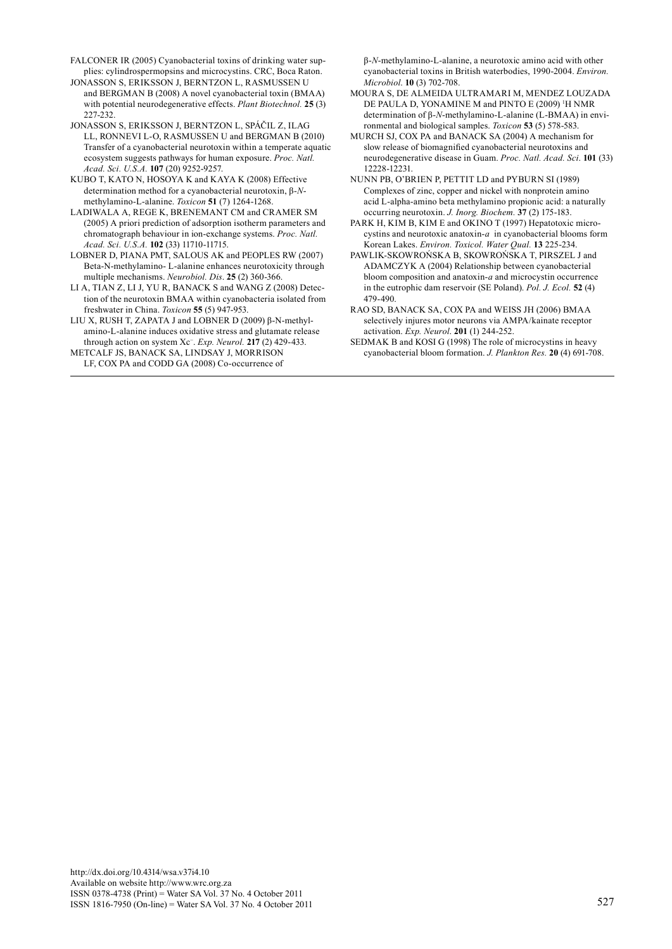- FALCONER IR (2005) Cyanobacterial toxins of drinking water supplies: cylindrospermopsins and microcystins. CRC, Boca Raton.
- JONASSON S, ERIKSSON J, BERNTZON L, RASMUSSEN U and BERGMAN B (2008) A novel cyanobacterial toxin (BMAA) with potential neurodegenerative effects. *Plant Biotechnol.* **25** (3) 227-232.
- JONASSON S, ERIKSSON J, BERNTZON L, SPÁČIL Z, ILAG LL, RONNEVI L-O, RASMUSSEN U and BERGMAN B (2010) Transfer of a cyanobacterial neurotoxin within a temperate aquatic ecosystem suggests pathways for human exposure. *Proc. Natl. Acad. Sci. U.S.A.* **107** (20) 9252-9257.
- KUBO T, KATO N, HOSOYA K and KAYA K (2008) Effective determination method for a cyanobacterial neurotoxin, β-*N*methylamino-L-alanine. *Toxicon* **51** (7) 1264-1268.
- LADIWALA A, REGE K, BRENEMANT CM and CRAMER SM (2005) A priori prediction of adsorption isotherm parameters and chromatograph behaviour in ion-exchange systems. *Proc. Natl. Acad. Sci. U.S.A.* **102** (33) 11710-11715.
- LOBNER D, PIANA PMT, SALOUS AK and PEOPLES RW (2007) Beta-N-methylamino- L-alanine enhances neurotoxicity through multiple mechanisms. *Neurobiol. Dis*. **25** (2) 360-366.
- LI A, TIAN Z, LI J, YU R, BANACK S and WANG Z (2008) Detection of the neurotoxin BMAA within cyanobacteria isolated from freshwater in China. *Toxicon* **55** (5) 947-953.
- LIU X, RUSH T, ZAPATA J and LOBNER D (2009) β-N-methylamino-L-alanine induces oxidative stress and glutamate release through action on system Xc<sup>−</sup> . *Exp. Neurol.* **217** (2) 429-433.
- METCALF JS, BANACK SA, LINDSAY J, MORRISON LF, COX PA and CODD GA (2008) Co-occurrence of

β-*N*-methylamino-L-alanine, a neurotoxic amino acid with other cyanobacterial toxins in British waterbodies, 1990-2004. *Environ. Microbiol*. **10** (3) 702-708.

- MOURA S, DE ALMEIDA ULTRAMARI M, MENDEZ LOUZADA DE PAULA D, YONAMINE M and PINTO E (2009) <sup>1</sup>H NMR determination of β-*N*-methylamino-L-alanine (L-BMAA) in environmental and biological samples. *Toxicon* **53** (5) 578-583.
- MURCH SJ, COX PA and BANACK SA (2004) A mechanism for slow release of biomagnified cyanobacterial neurotoxins and neurodegenerative disease in Guam. *Proc. Natl. Acad. Sci*. **101** (33) 12228-12231.
- NUNN PB, O'BRIEN P, PETTIT LD and PYBURN SI (1989) Complexes of zinc, copper and nickel with nonprotein amino acid L-alpha-amino beta methylamino propionic acid: a naturally occurring neurotoxin. *J. Inorg. Biochem.* **37** (2) 175-183.
- PARK H, KIM B, KIM E and OKINO T (1997) Hepatotoxic microcystins and neurotoxic anatoxin-*a* in cyanobacterial blooms form Korean Lakes. *Environ. Toxicol. Water Qual.* **13** 225-234.
- PAWLIK-SKOWROŃSKA B, SKOWROŃSKA T, PIRSZEL J and ADAMCZYK A (2004) Relationship between cyanobacterial bloom composition and anatoxin-*a* and microcystin occurrence in the eutrophic dam reservoir (SE Poland). *Pol. J. Ecol.* **52** (4) 479-490.
- RAO SD, BANACK SA, COX PA and WEISS JH (2006) BMAA selectively injures motor neurons via AMPA/kainate receptor activation. *Exp. Neurol*. **201** (1) 244-252.
- SEDMAK B and KOSI G (1998) The role of microcystins in heavy cyanobacterial bloom formation. *J. Plankton Res.* **20** (4) 691-708.